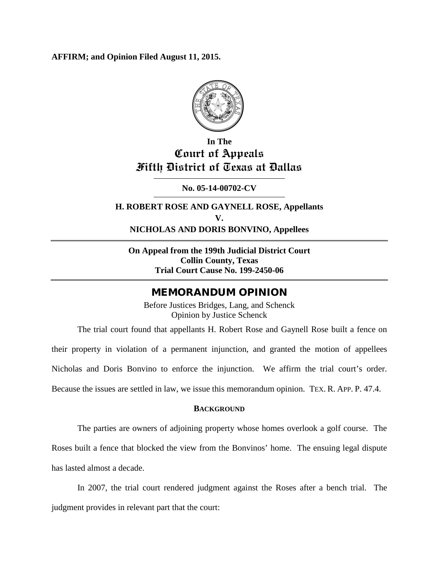**AFFIRM; and Opinion Filed August 11, 2015.**



## **In The Court of Appeals Fifth District of Texas at Dallas**

**No. 05-14-00702-CV**

**H. ROBERT ROSE AND GAYNELL ROSE, Appellants V. NICHOLAS AND DORIS BONVINO, Appellees**

**On Appeal from the 199th Judicial District Court Collin County, Texas Trial Court Cause No. 199-2450-06**

### MEMORANDUM OPINION

Before Justices Bridges, Lang, and Schenck Opinion by Justice Schenck

The trial court found that appellants H. Robert Rose and Gaynell Rose built a fence on their property in violation of a permanent injunction, and granted the motion of appellees Nicholas and Doris Bonvino to enforce the injunction. We affirm the trial court's order. Because the issues are settled in law, we issue this memorandum opinion. TEX. R. APP. P. 47.4.

#### **BACKGROUND**

The parties are owners of adjoining property whose homes overlook a golf course. The

Roses built a fence that blocked the view from the Bonvinos' home. The ensuing legal dispute has lasted almost a decade.

In 2007, the trial court rendered judgment against the Roses after a bench trial. The judgment provides in relevant part that the court: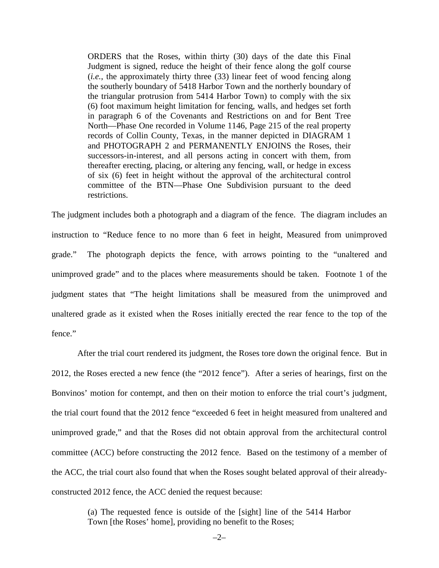ORDERS that the Roses, within thirty (30) days of the date this Final Judgment is signed, reduce the height of their fence along the golf course (*i.e.*, the approximately thirty three (33) linear feet of wood fencing along the southerly boundary of 5418 Harbor Town and the northerly boundary of the triangular protrusion from 5414 Harbor Town) to comply with the six (6) foot maximum height limitation for fencing, walls, and hedges set forth in paragraph 6 of the Covenants and Restrictions on and for Bent Tree North—Phase One recorded in Volume 1146, Page 215 of the real property records of Collin County, Texas, in the manner depicted in DIAGRAM 1 and PHOTOGRAPH 2 and PERMANENTLY ENJOINS the Roses, their successors-in-interest, and all persons acting in concert with them, from thereafter erecting, placing, or altering any fencing, wall, or hedge in excess of six (6) feet in height without the approval of the architectural control committee of the BTN—Phase One Subdivision pursuant to the deed restrictions.

The judgment includes both a photograph and a diagram of the fence. The diagram includes an instruction to "Reduce fence to no more than 6 feet in height, Measured from unimproved grade." The photograph depicts the fence, with arrows pointing to the "unaltered and unimproved grade" and to the places where measurements should be taken. Footnote 1 of the judgment states that "The height limitations shall be measured from the unimproved and unaltered grade as it existed when the Roses initially erected the rear fence to the top of the fence."

After the trial court rendered its judgment, the Roses tore down the original fence. But in 2012, the Roses erected a new fence (the "2012 fence"). After a series of hearings, first on the Bonvinos' motion for contempt, and then on their motion to enforce the trial court's judgment, the trial court found that the 2012 fence "exceeded 6 feet in height measured from unaltered and unimproved grade," and that the Roses did not obtain approval from the architectural control committee (ACC) before constructing the 2012 fence. Based on the testimony of a member of the ACC, the trial court also found that when the Roses sought belated approval of their alreadyconstructed 2012 fence, the ACC denied the request because:

> (a) The requested fence is outside of the [sight] line of the 5414 Harbor Town [the Roses' home], providing no benefit to the Roses;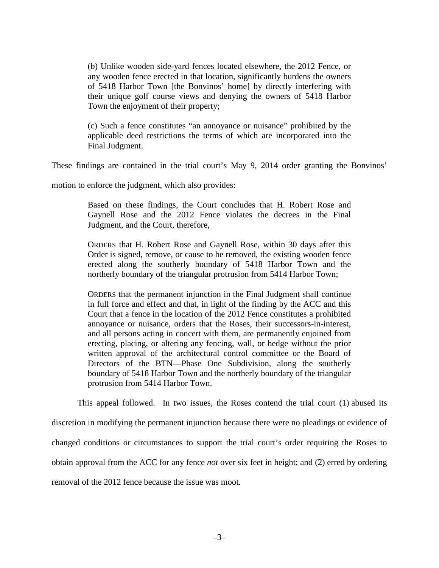(b) Unlike wooden side-yard fences located elsewhere, the 2012 Fence, or any wooden fence erected in that location, significantly burdens the owners of 5418 Harbor Town [the Bonvinos' home] by directly interfering with their unique golf course views and denying the owners of 5418 Harbor Town the enjoyment of their property;

(c) Such a fence constitutes "an annoyance or nuisance" prohibited by the applicable deed restrictions the terms of which are incorporated into the Final Judgment.

These findings are contained in the trial court's May 9, 2014 order granting the Bonvinos'

motion to enforce the judgment, which also provides:

Based on these findings, the Court concludes that H. Robert Rose and Gaynell Rose and the 2012 Fence violates the decrees in the Final Judgment, and the Court, therefore,

ORDERS that H. Robert Rose and Gaynell Rose, within 30 days after this Order is signed, remove, or cause to be removed, the existing wooden fence erected along the southerly boundary of 5418 Harbor Town and the northerly boundary of the triangular protrusion from 5414 Harbor Town;

ORDERS that the permanent injunction in the Final Judgment shall continue in full force and effect and that, in light of the finding by the ACC and this Court that a fence in the location of the 2012 Fence constitutes a prohibited annoyance or nuisance, orders that the Roses, their successors-in-interest, and all persons acting in concert with them, are permanently enjoined from erecting, placing, or altering any fencing, wall, or hedge without the prior written approval of the architectural control committee or the Board of Directors of the BTN—Phase One Subdivision, along the southerly boundary of 5418 Harbor Town and the northerly boundary of the triangular protrusion from 5414 Harbor Town.

This appeal followed. In two issues, the Roses contend the trial court (1) abused its

discretion in modifying the permanent injunction because there were no pleadings or evidence of

changed conditions or circumstances to support the trial court's order requiring the Roses to

obtain approval from the ACC for any fence *not* over six feet in height; and (2) erred by ordering

removal of the 2012 fence because the issue was moot.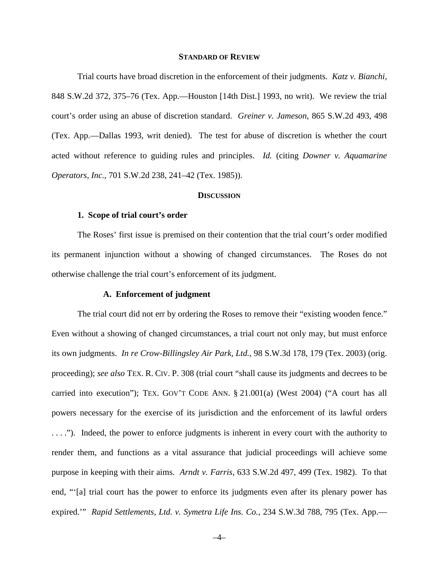#### **STANDARD OF REVIEW**

Trial courts have broad discretion in the enforcement of their judgments. *Katz v. Bianchi*, 848 S.W.2d 372, 375–76 (Tex. App.—Houston [14th Dist.] 1993, no writ). We review the trial court's order using an abuse of discretion standard. *Greiner v. Jameson*, 865 S.W.2d 493, 498 (Tex. App.—Dallas 1993, writ denied). The test for abuse of discretion is whether the court acted without reference to guiding rules and principles. *Id.* (citing *Downer v. Aquamarine Operators, Inc.*, 701 S.W.2d 238, 241–42 (Tex. 1985)).

#### **DISCUSSION**

#### **1. Scope of trial court's order**

The Roses' first issue is premised on their contention that the trial court's order modified its permanent injunction without a showing of changed circumstances. The Roses do not otherwise challenge the trial court's enforcement of its judgment.

#### **A. Enforcement of judgment**

The trial court did not err by ordering the Roses to remove their "existing wooden fence." Even without a showing of changed circumstances, a trial court not only may, but must enforce its own judgments. *In re Crow-Billingsley Air Park, Ltd.*, 98 S.W.3d 178, 179 (Tex. 2003) (orig. proceeding); *see also* TEX. R. CIV. P. 308 (trial court "shall cause its judgments and decrees to be carried into execution"); TEX. GOV'T CODE ANN. § 21.001(a) (West 2004) ("A court has all powers necessary for the exercise of its jurisdiction and the enforcement of its lawful orders . . . ."). Indeed, the power to enforce judgments is inherent in every court with the authority to render them, and functions as a vital assurance that judicial proceedings will achieve some purpose in keeping with their aims. *Arndt v. Farris,* 633 S.W.2d 497, 499 (Tex. 1982). To that end, "ʻ[a] trial court has the power to enforce its judgments even after its plenary power has expired.'" *Rapid Settlements, Ltd. v. Symetra Life Ins. Co.*, 234 S.W.3d 788, 795 (Tex. App.—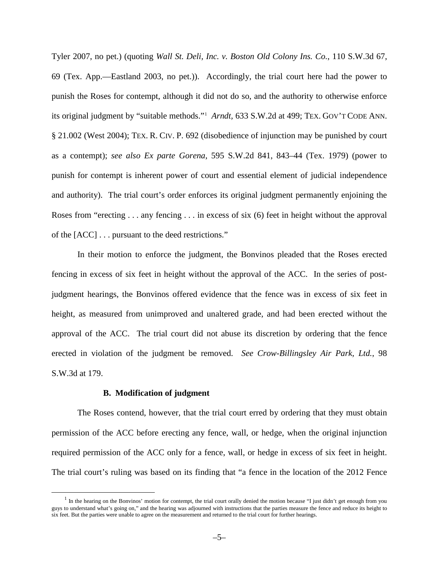Tyler 2007, no pet.) (quoting *Wall St. Deli, Inc. v. Boston Old Colony Ins. Co.*, 110 S.W.3d 67, 69 (Tex. App.—Eastland 2003, no pet.)). Accordingly, the trial court here had the power to punish the Roses for contempt, although it did not do so, and the authority to otherwise enforce its original judgment by "suitable methods."[1](#page-4-0) *Arndt,* 633 S.W.2d at 499; TEX. GOV'T CODE ANN. § 21.002 (West 2004); TEX. R. CIV. P. 692 (disobedience of injunction may be punished by court as a contempt); *see also Ex parte Gorena*, 595 S.W.2d 841, 843–44 (Tex. 1979) (power to punish for contempt is inherent power of court and essential element of judicial independence and authority). The trial court's order enforces its original judgment permanently enjoining the Roses from "erecting . . . any fencing . . . in excess of six (6) feet in height without the approval of the [ACC] . . . pursuant to the deed restrictions."

In their motion to enforce the judgment, the Bonvinos pleaded that the Roses erected fencing in excess of six feet in height without the approval of the ACC. In the series of postjudgment hearings, the Bonvinos offered evidence that the fence was in excess of six feet in height, as measured from unimproved and unaltered grade, and had been erected without the approval of the ACC. The trial court did not abuse its discretion by ordering that the fence erected in violation of the judgment be removed. *See Crow-Billingsley Air Park, Ltd.*, 98 S.W.3d at 179.

#### **B. Modification of judgment**

The Roses contend, however, that the trial court erred by ordering that they must obtain permission of the ACC before erecting any fence, wall, or hedge, when the original injunction required permission of the ACC only for a fence, wall, or hedge in excess of six feet in height. The trial court's ruling was based on its finding that "a fence in the location of the 2012 Fence

<span id="page-4-0"></span> $<sup>1</sup>$  In the hearing on the Bonvinos' motion for contempt, the trial court orally denied the motion because "I just didn't get enough from you</sup> guys to understand what's going on," and the hearing was adjourned with instructions that the parties measure the fence and reduce its height to six feet. But the parties were unable to agree on the measurement and returned to the trial court for further hearings.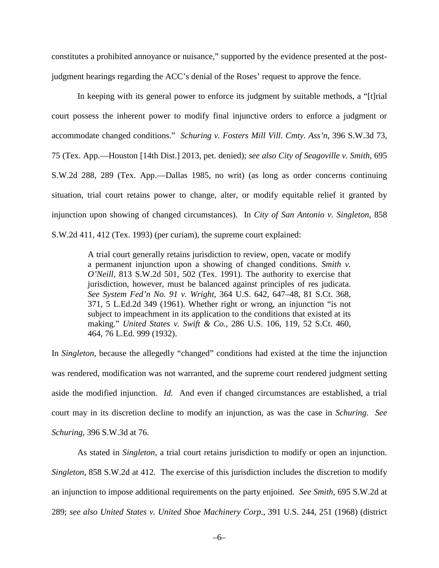constitutes a prohibited annoyance or nuisance," supported by the evidence presented at the postjudgment hearings regarding the ACC's denial of the Roses' request to approve the fence.

In keeping with its general power to enforce its judgment by suitable methods, a "[t]rial court possess the inherent power to modify final injunctive orders to enforce a judgment or accommodate changed conditions." *Schuring v. Fosters Mill Vill. Cmty. Ass'n*, 396 S.W.3d 73, 75 (Tex. App.—Houston [14th Dist.] 2013, pet. denied); *see also City of Seagoville v. Smith*, 695 S.W.2d 288, 289 (Tex. App.—Dallas 1985, no writ) (as long as order concerns continuing situation, trial court retains power to change, alter, or modify equitable relief it granted by injunction upon showing of changed circumstances). In *City of San Antonio v. Singleton*, 858 S.W.2d 411, 412 (Tex. 1993) (per curiam), the supreme court explained:

> A trial court generally retains jurisdiction to review, open, vacate or modify a permanent injunction upon a showing of changed conditions. *Smith v. O'Neill,* 813 S.W.2d 501, 502 (Tex. 1991). The authority to exercise that jurisdiction, however, must be balanced against principles of res judicata. *See System Fed'n No. 91 v. Wright,* 364 U.S. 642, 647–48, 81 S.Ct. 368, 371, 5 L.Ed.2d 349 (1961). Whether right or wrong, an injunction "is not subject to impeachment in its application to the conditions that existed at its making." *United States v. Swift & Co.,* 286 U.S. 106, 119, 52 S.Ct. 460, 464, 76 L.Ed. 999 (1932).

In *Singleton*, because the allegedly "changed" conditions had existed at the time the injunction was rendered, modification was not warranted, and the supreme court rendered judgment setting aside the modified injunction. *Id.* And even if changed circumstances are established, a trial court may in its discretion decline to modify an injunction, as was the case in *Schuring*. *See Schuring*, 396 S.W.3d at 76.

As stated in *Singleton*, a trial court retains jurisdiction to modify or open an injunction. *Singleton*, 858 S.W.2d at 412. The exercise of this jurisdiction includes the discretion to modify an injunction to impose additional requirements on the party enjoined. *See Smith,* 695 S.W.2d at 289; *see also United States v. United Shoe Machinery Corp.*, 391 U.S. 244, 251 (1968) (district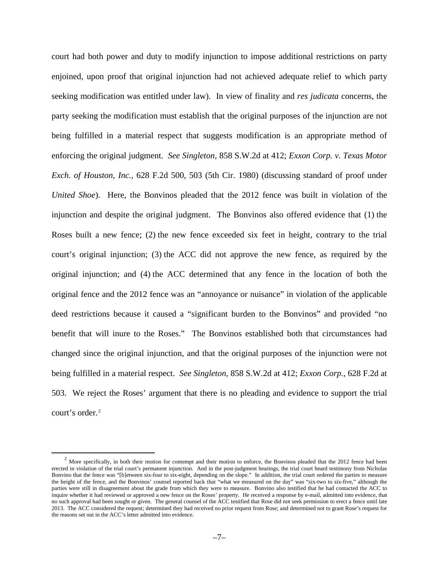court had both power and duty to modify injunction to impose additional restrictions on party enjoined, upon proof that original injunction had not achieved adequate relief to which party seeking modification was entitled under law). In view of finality and *res judicata* concerns, the party seeking the modification must establish that the original purposes of the injunction are not being fulfilled in a material respect that suggests modification is an appropriate method of enforcing the original judgment. *See Singleton,* 858 S.W.2d at 412; *Exxon Corp. v. Texas Motor Exch. of Houston, Inc.*, 628 F.2d 500, 503 (5th Cir. 1980) (discussing standard of proof under *United Shoe*). Here, the Bonvinos pleaded that the 2012 fence was built in violation of the injunction and despite the original judgment. The Bonvinos also offered evidence that (1) the Roses built a new fence; (2) the new fence exceeded six feet in height, contrary to the trial court's original injunction; (3) the ACC did not approve the new fence, as required by the original injunction; and (4) the ACC determined that any fence in the location of both the original fence and the 2012 fence was an "annoyance or nuisance" in violation of the applicable deed restrictions because it caused a "significant burden to the Bonvinos" and provided "no benefit that will inure to the Roses." The Bonvinos established both that circumstances had changed since the original injunction, and that the original purposes of the injunction were not being fulfilled in a material respect. *See Singleton*, 858 S.W.2d at 412; *Exxon Corp.*, 628 F.2d at 503. We reject the Roses' argument that there is no pleading and evidence to support the trial court's order.<sup>[2](#page-6-0)</sup>

<span id="page-6-0"></span> $2$  More specifically, in both their motion for contempt and their motion to enforce, the Bonvinos pleaded that the 2012 fence had been erected in violation of the trial court's permanent injunction. And in the post-judgment hearings, the trial court heard testimony from Nicholas Bonvino that the fence was "[b]etween six-four to six-eight, depending on the slope." In addition, the trial court ordered the parties to measure the height of the fence, and the Bonvinos' counsel reported back that "what we measured on the day" was "six-two to six-five," although the parties were still in disagreement about the grade from which they were to measure. Bonvino also testified that he had contacted the ACC to inquire whether it had reviewed or approved a new fence on the Roses' property. He received a response by e-mail, admitted into evidence, that no such approval had been sought or given. The general counsel of the ACC testified that Rose did not seek permission to erect a fence until late 2013. The ACC considered the request; determined they had received no prior request from Rose; and determined not to grant Rose's request for the reasons set out in the ACC's letter admitted into evidence.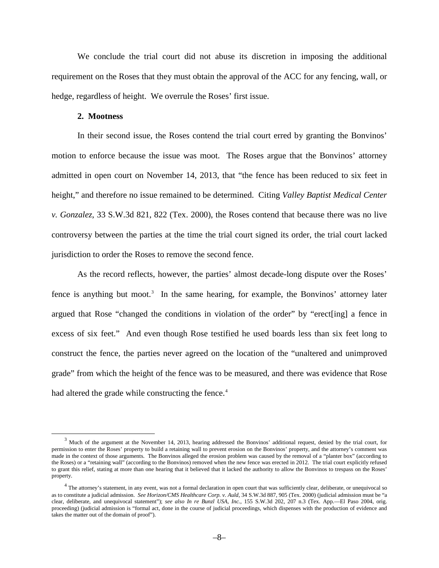We conclude the trial court did not abuse its discretion in imposing the additional requirement on the Roses that they must obtain the approval of the ACC for any fencing, wall, or hedge, regardless of height. We overrule the Roses' first issue.

#### **2. Mootness**

In their second issue, the Roses contend the trial court erred by granting the Bonvinos' motion to enforce because the issue was moot. The Roses argue that the Bonvinos' attorney admitted in open court on November 14, 2013, that "the fence has been reduced to six feet in height," and therefore no issue remained to be determined. Citing *Valley Baptist Medical Center v. Gonzalez*, 33 S.W.3d 821, 822 (Tex. 2000), the Roses contend that because there was no live controversy between the parties at the time the trial court signed its order, the trial court lacked jurisdiction to order the Roses to remove the second fence.

As the record reflects, however, the parties' almost decade-long dispute over the Roses' fence is anything but moot.<sup>[3](#page-7-0)</sup> In the same hearing, for example, the Bonvinos' attorney later argued that Rose "changed the conditions in violation of the order" by "erect[ing] a fence in excess of six feet." And even though Rose testified he used boards less than six feet long to construct the fence, the parties never agreed on the location of the "unaltered and unimproved grade" from which the height of the fence was to be measured, and there was evidence that Rose had altered the grade while constructing the fence.<sup>[4](#page-7-1)</sup>

<span id="page-7-0"></span><sup>&</sup>lt;sup>3</sup> Much of the argument at the November 14, 2013, hearing addressed the Bonvinos' additional request, denied by the trial court, for permission to enter the Roses' property to build a retaining wall to prevent erosion on the Bonvinos' property, and the attorney's comment was made in the context of those arguments. The Bonvinos alleged the erosion problem was caused by the removal of a "planter box" (according to the Roses) or a "retaining wall" (according to the Bonvinos) removed when the new fence was erected in 2012. The trial court explicitly refused to grant this relief, stating at more than one hearing that it believed that it lacked the authority to allow the Bonvinos to trespass on the Roses' property.

<span id="page-7-1"></span> $4$  The attorney's statement, in any event, was not a formal declaration in open court that was sufficiently clear, deliberate, or unequivocal so as to constitute a judicial admission. *See Horizon/CMS Healthcare Corp. v. Auld*, 34 S.W.3d 887, 905 (Tex. 2000) (judicial admission must be "a clear, deliberate, and unequivocal statement"); *see also In re Bunzl USA, Inc.*, 155 S.W.3d 202, 207 n.3 (Tex. App.—El Paso 2004, orig. proceeding) (judicial admission is "formal act, done in the course of judicial proceedings, which dispenses with the production of evidence and takes the matter out of the domain of proof").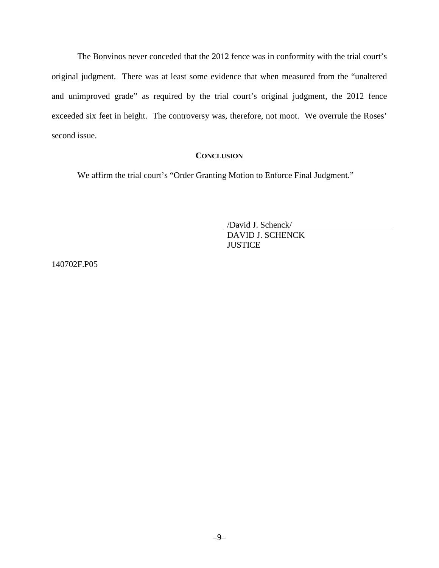The Bonvinos never conceded that the 2012 fence was in conformity with the trial court's original judgment. There was at least some evidence that when measured from the "unaltered and unimproved grade" as required by the trial court's original judgment, the 2012 fence exceeded six feet in height. The controversy was, therefore, not moot. We overrule the Roses' second issue.

#### **CONCLUSION**

We affirm the trial court's "Order Granting Motion to Enforce Final Judgment."

/David J. Schenck/ DAVID J. SCHENCK **JUSTICE** 

140702F.P05